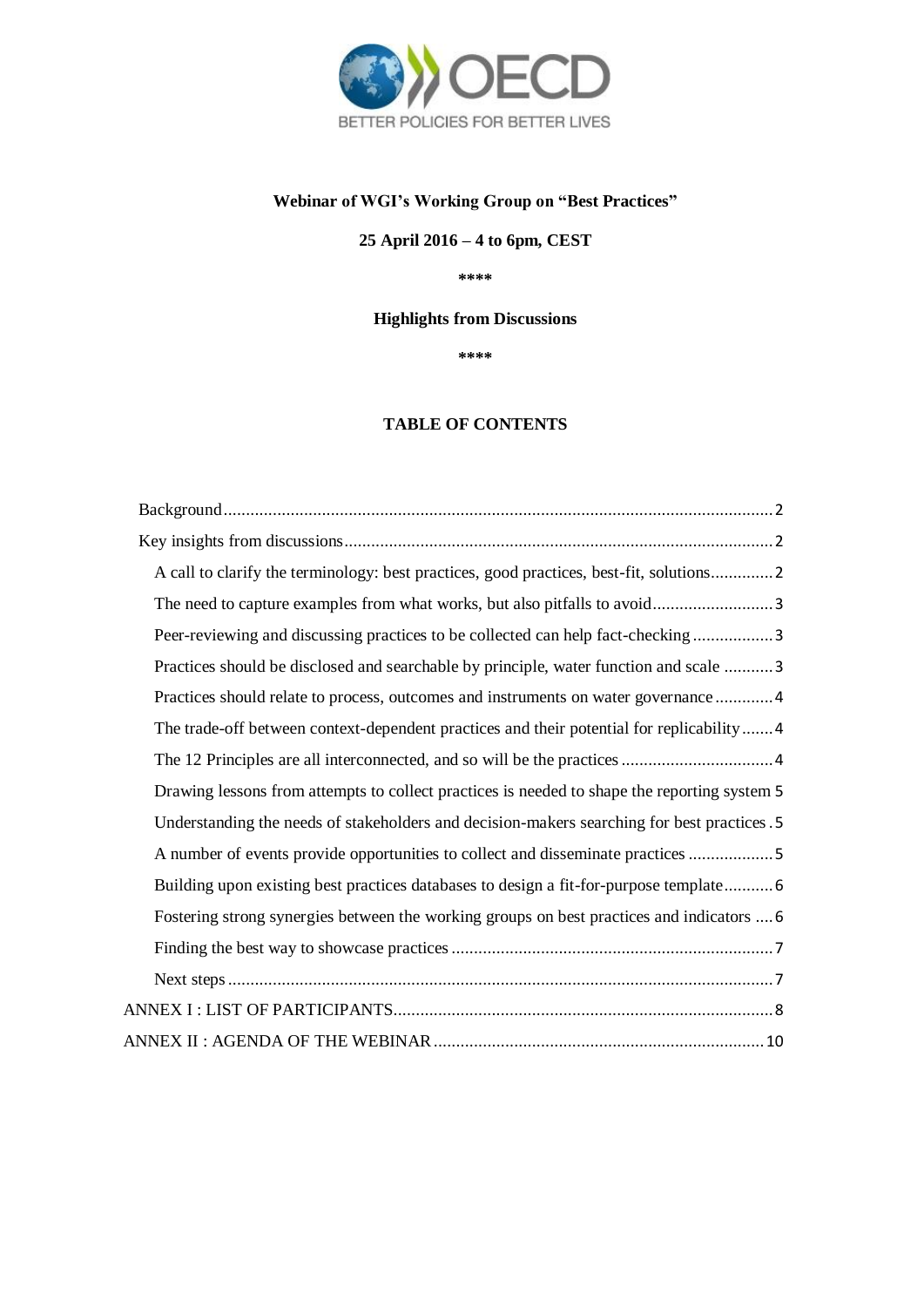

# **Webinar of WGI's Working Group on "Best Practices"**

**25 April 2016 – 4 to 6pm, CEST**

**\*\*\*\***

## **Highlights from Discussions**

**\*\*\*\***

## **TABLE OF CONTENTS**

| A call to clarify the terminology: best practices, good practices, best-fit, solutions2      |
|----------------------------------------------------------------------------------------------|
|                                                                                              |
| Peer-reviewing and discussing practices to be collected can help fact-checking 3             |
| Practices should be disclosed and searchable by principle, water function and scale  3       |
| Practices should relate to process, outcomes and instruments on water governance 4           |
| The trade-off between context-dependent practices and their potential for replicability4     |
|                                                                                              |
| Drawing lessons from attempts to collect practices is needed to shape the reporting system 5 |
| Understanding the needs of stakeholders and decision-makers searching for best practices .5  |
| A number of events provide opportunities to collect and disseminate practices 5              |
| Building upon existing best practices databases to design a fit-for-purpose template 6       |
| Fostering strong synergies between the working groups on best practices and indicators  6    |
|                                                                                              |
|                                                                                              |
|                                                                                              |
|                                                                                              |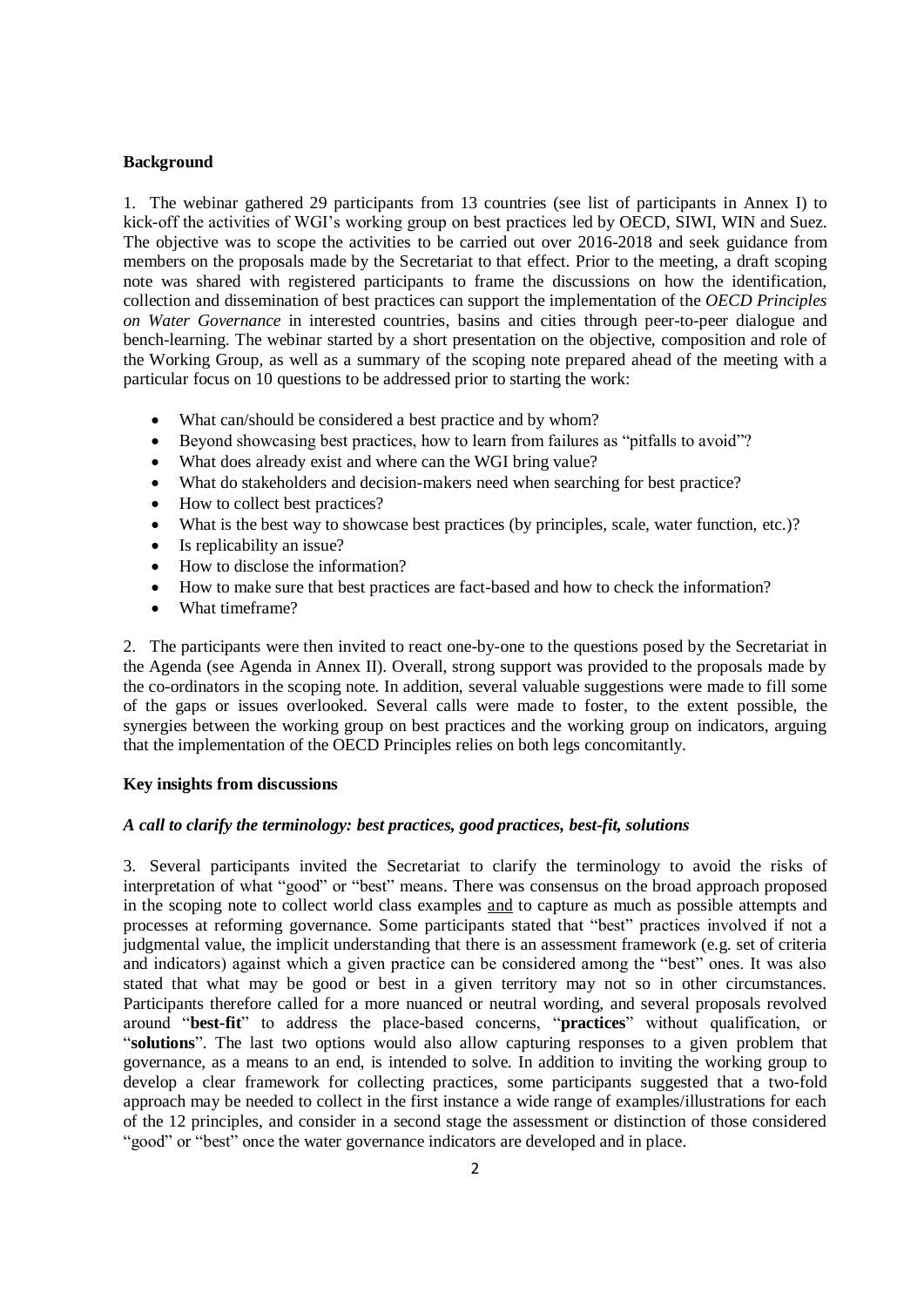### <span id="page-1-0"></span>**Background**

1. The webinar gathered 29 participants from 13 countries (see list of participants in Annex I) to kick-off the activities of WGI's working group on best practices led by OECD, SIWI, WIN and Suez. The objective was to scope the activities to be carried out over 2016-2018 and seek guidance from members on the proposals made by the Secretariat to that effect. Prior to the meeting, a draft scoping note was shared with registered participants to frame the discussions on how the identification, collection and dissemination of best practices can support the implementation of the *OECD Principles on Water Governance* in interested countries, basins and cities through peer-to-peer dialogue and bench-learning. The webinar started by a short presentation on the objective, composition and role of the Working Group, as well as a summary of the scoping note prepared ahead of the meeting with a particular focus on 10 questions to be addressed prior to starting the work:

- What can/should be considered a best practice and by whom?
- Beyond showcasing best practices, how to learn from failures as "pitfalls to avoid"?
- What does already exist and where can the WGI bring value?
- What do stakeholders and decision-makers need when searching for best practice?
- How to collect best practices?
- What is the best way to showcase best practices (by principles, scale, water function, etc.)?
- Is replicability an issue?
- How to disclose the information?
- How to make sure that best practices are fact-based and how to check the information?
- What timeframe?

2. The participants were then invited to react one-by-one to the questions posed by the Secretariat in the Agenda (see Agenda in Annex II). Overall, strong support was provided to the proposals made by the co-ordinators in the scoping note. In addition, several valuable suggestions were made to fill some of the gaps or issues overlooked. Several calls were made to foster, to the extent possible, the synergies between the working group on best practices and the working group on indicators, arguing that the implementation of the OECD Principles relies on both legs concomitantly.

#### <span id="page-1-1"></span>**Key insights from discussions**

### <span id="page-1-2"></span>*A call to clarify the terminology: best practices, good practices, best-fit, solutions*

3. Several participants invited the Secretariat to clarify the terminology to avoid the risks of interpretation of what "good" or "best" means. There was consensus on the broad approach proposed in the scoping note to collect world class examples and to capture as much as possible attempts and processes at reforming governance. Some participants stated that "best" practices involved if not a judgmental value, the implicit understanding that there is an assessment framework (e.g. set of criteria and indicators) against which a given practice can be considered among the "best" ones. It was also stated that what may be good or best in a given territory may not so in other circumstances. Participants therefore called for a more nuanced or neutral wording, and several proposals revolved around "**best-fit**" to address the place-based concerns, "**practices**" without qualification, or "**solutions**". The last two options would also allow capturing responses to a given problem that governance, as a means to an end, is intended to solve. In addition to inviting the working group to develop a clear framework for collecting practices, some participants suggested that a two-fold approach may be needed to collect in the first instance a wide range of examples/illustrations for each of the 12 principles, and consider in a second stage the assessment or distinction of those considered "good" or "best" once the water governance indicators are developed and in place.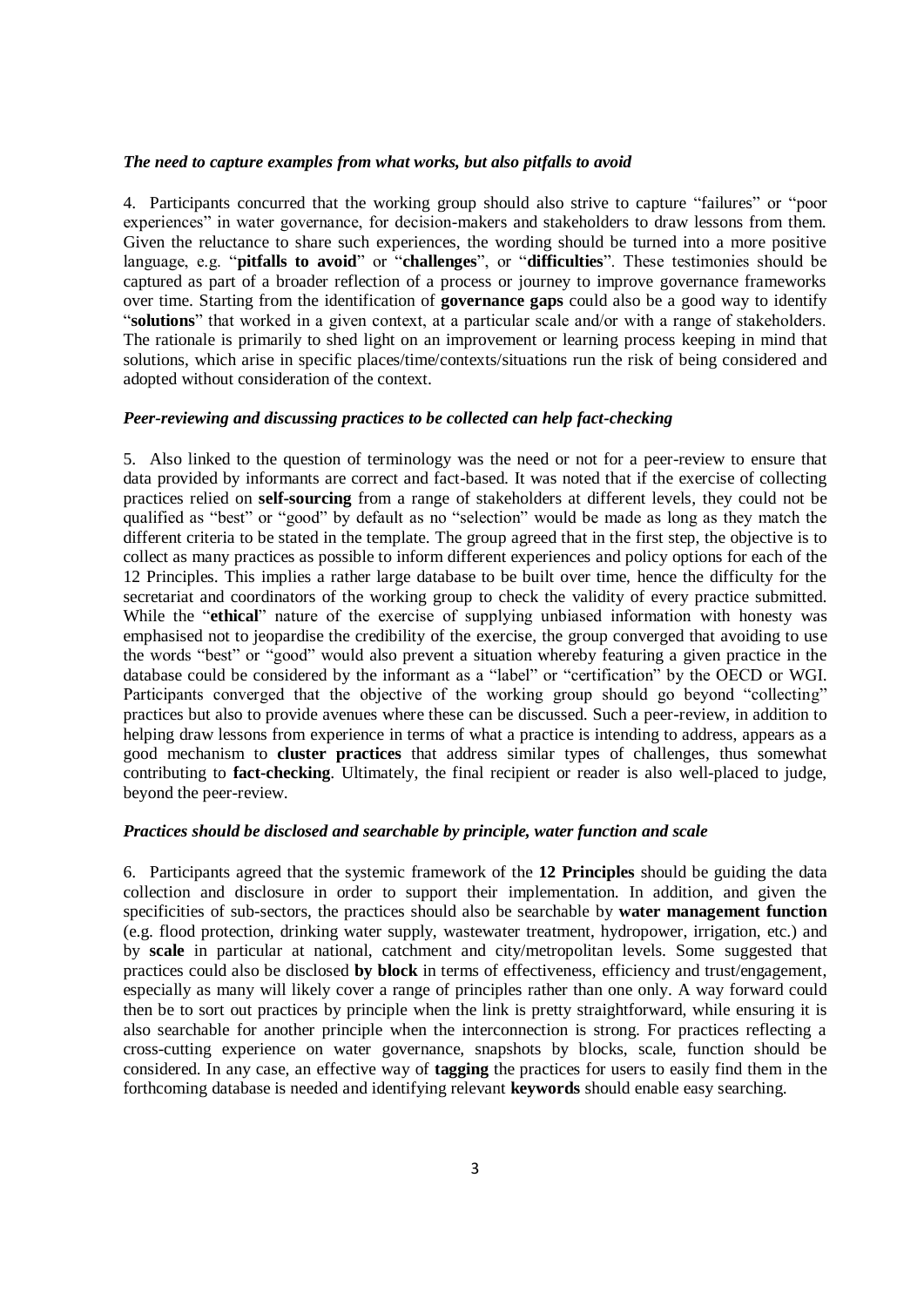#### <span id="page-2-0"></span>*The need to capture examples from what works, but also pitfalls to avoid*

4. Participants concurred that the working group should also strive to capture "failures" or "poor experiences" in water governance, for decision-makers and stakeholders to draw lessons from them. Given the reluctance to share such experiences, the wording should be turned into a more positive language, e.g. "**pitfalls to avoid**" or "**challenges**", or "**difficulties**". These testimonies should be captured as part of a broader reflection of a process or journey to improve governance frameworks over time. Starting from the identification of **governance gaps** could also be a good way to identify "**solutions**" that worked in a given context, at a particular scale and/or with a range of stakeholders. The rationale is primarily to shed light on an improvement or learning process keeping in mind that solutions, which arise in specific places/time/contexts/situations run the risk of being considered and adopted without consideration of the context.

### <span id="page-2-1"></span>*Peer-reviewing and discussing practices to be collected can help fact-checking*

5. Also linked to the question of terminology was the need or not for a peer-review to ensure that data provided by informants are correct and fact-based. It was noted that if the exercise of collecting practices relied on **self-sourcing** from a range of stakeholders at different levels, they could not be qualified as "best" or "good" by default as no "selection" would be made as long as they match the different criteria to be stated in the template. The group agreed that in the first step, the objective is to collect as many practices as possible to inform different experiences and policy options for each of the 12 Principles. This implies a rather large database to be built over time, hence the difficulty for the secretariat and coordinators of the working group to check the validity of every practice submitted. While the "**ethical**" nature of the exercise of supplying unbiased information with honesty was emphasised not to jeopardise the credibility of the exercise, the group converged that avoiding to use the words "best" or "good" would also prevent a situation whereby featuring a given practice in the database could be considered by the informant as a "label" or "certification" by the OECD or WGI. Participants converged that the objective of the working group should go beyond "collecting" practices but also to provide avenues where these can be discussed. Such a peer-review, in addition to helping draw lessons from experience in terms of what a practice is intending to address, appears as a good mechanism to **cluster practices** that address similar types of challenges, thus somewhat contributing to **fact-checking**. Ultimately, the final recipient or reader is also well-placed to judge, beyond the peer-review.

#### <span id="page-2-2"></span>*Practices should be disclosed and searchable by principle, water function and scale*

6. Participants agreed that the systemic framework of the **12 Principles** should be guiding the data collection and disclosure in order to support their implementation. In addition, and given the specificities of sub-sectors, the practices should also be searchable by **water management function** (e.g. flood protection, drinking water supply, wastewater treatment, hydropower, irrigation, etc.) and by **scale** in particular at national, catchment and city/metropolitan levels. Some suggested that practices could also be disclosed **by block** in terms of effectiveness, efficiency and trust/engagement, especially as many will likely cover a range of principles rather than one only. A way forward could then be to sort out practices by principle when the link is pretty straightforward, while ensuring it is also searchable for another principle when the interconnection is strong. For practices reflecting a cross-cutting experience on water governance, snapshots by blocks, scale, function should be considered. In any case, an effective way of **tagging** the practices for users to easily find them in the forthcoming database is needed and identifying relevant **keywords** should enable easy searching.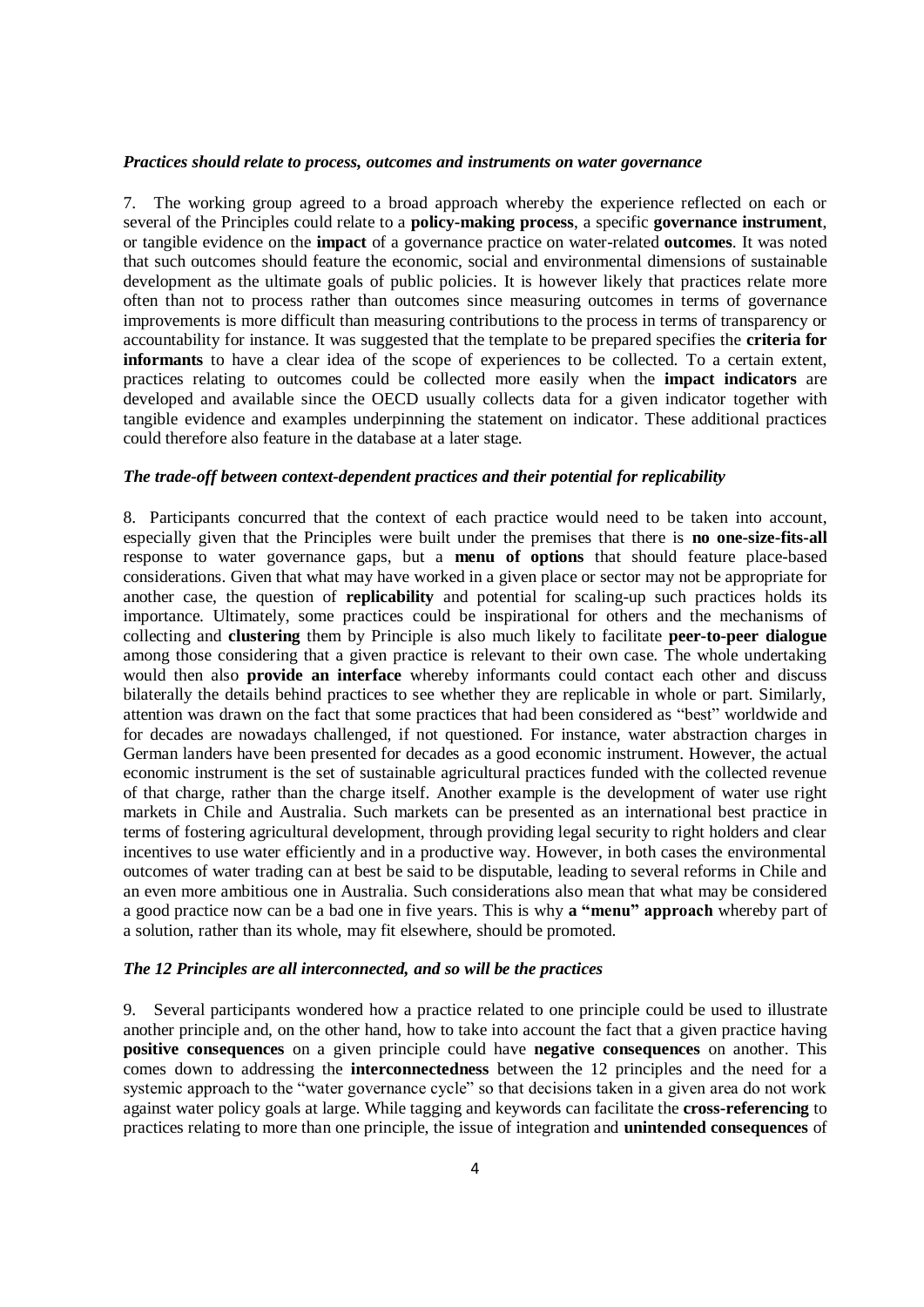#### <span id="page-3-0"></span>*Practices should relate to process, outcomes and instruments on water governance*

7. The working group agreed to a broad approach whereby the experience reflected on each or several of the Principles could relate to a **policy-making process**, a specific **governance instrument**, or tangible evidence on the **impact** of a governance practice on water-related **outcomes**. It was noted that such outcomes should feature the economic, social and environmental dimensions of sustainable development as the ultimate goals of public policies. It is however likely that practices relate more often than not to process rather than outcomes since measuring outcomes in terms of governance improvements is more difficult than measuring contributions to the process in terms of transparency or accountability for instance. It was suggested that the template to be prepared specifies the **criteria for informants** to have a clear idea of the scope of experiences to be collected. To a certain extent, practices relating to outcomes could be collected more easily when the **impact indicators** are developed and available since the OECD usually collects data for a given indicator together with tangible evidence and examples underpinning the statement on indicator. These additional practices could therefore also feature in the database at a later stage.

#### <span id="page-3-1"></span>*The trade-off between context-dependent practices and their potential for replicability*

8. Participants concurred that the context of each practice would need to be taken into account, especially given that the Principles were built under the premises that there is **no one-size-fits-all** response to water governance gaps, but a **menu of options** that should feature place-based considerations. Given that what may have worked in a given place or sector may not be appropriate for another case, the question of **replicability** and potential for scaling-up such practices holds its importance. Ultimately, some practices could be inspirational for others and the mechanisms of collecting and **clustering** them by Principle is also much likely to facilitate **peer-to-peer dialogue** among those considering that a given practice is relevant to their own case. The whole undertaking would then also **provide an interface** whereby informants could contact each other and discuss bilaterally the details behind practices to see whether they are replicable in whole or part. Similarly, attention was drawn on the fact that some practices that had been considered as "best" worldwide and for decades are nowadays challenged, if not questioned. For instance, water abstraction charges in German landers have been presented for decades as a good economic instrument. However, the actual economic instrument is the set of sustainable agricultural practices funded with the collected revenue of that charge, rather than the charge itself. Another example is the development of water use right markets in Chile and Australia. Such markets can be presented as an international best practice in terms of fostering agricultural development, through providing legal security to right holders and clear incentives to use water efficiently and in a productive way. However, in both cases the environmental outcomes of water trading can at best be said to be disputable, leading to several reforms in Chile and an even more ambitious one in Australia. Such considerations also mean that what may be considered a good practice now can be a bad one in five years. This is why **a "menu" approach** whereby part of a solution, rather than its whole, may fit elsewhere, should be promoted.

#### <span id="page-3-2"></span>*The 12 Principles are all interconnected, and so will be the practices*

9. Several participants wondered how a practice related to one principle could be used to illustrate another principle and, on the other hand, how to take into account the fact that a given practice having **positive consequences** on a given principle could have **negative consequences** on another. This comes down to addressing the **interconnectedness** between the 12 principles and the need for a systemic approach to the "water governance cycle" so that decisions taken in a given area do not work against water policy goals at large. While tagging and keywords can facilitate the **cross-referencing** to practices relating to more than one principle, the issue of integration and **unintended consequences** of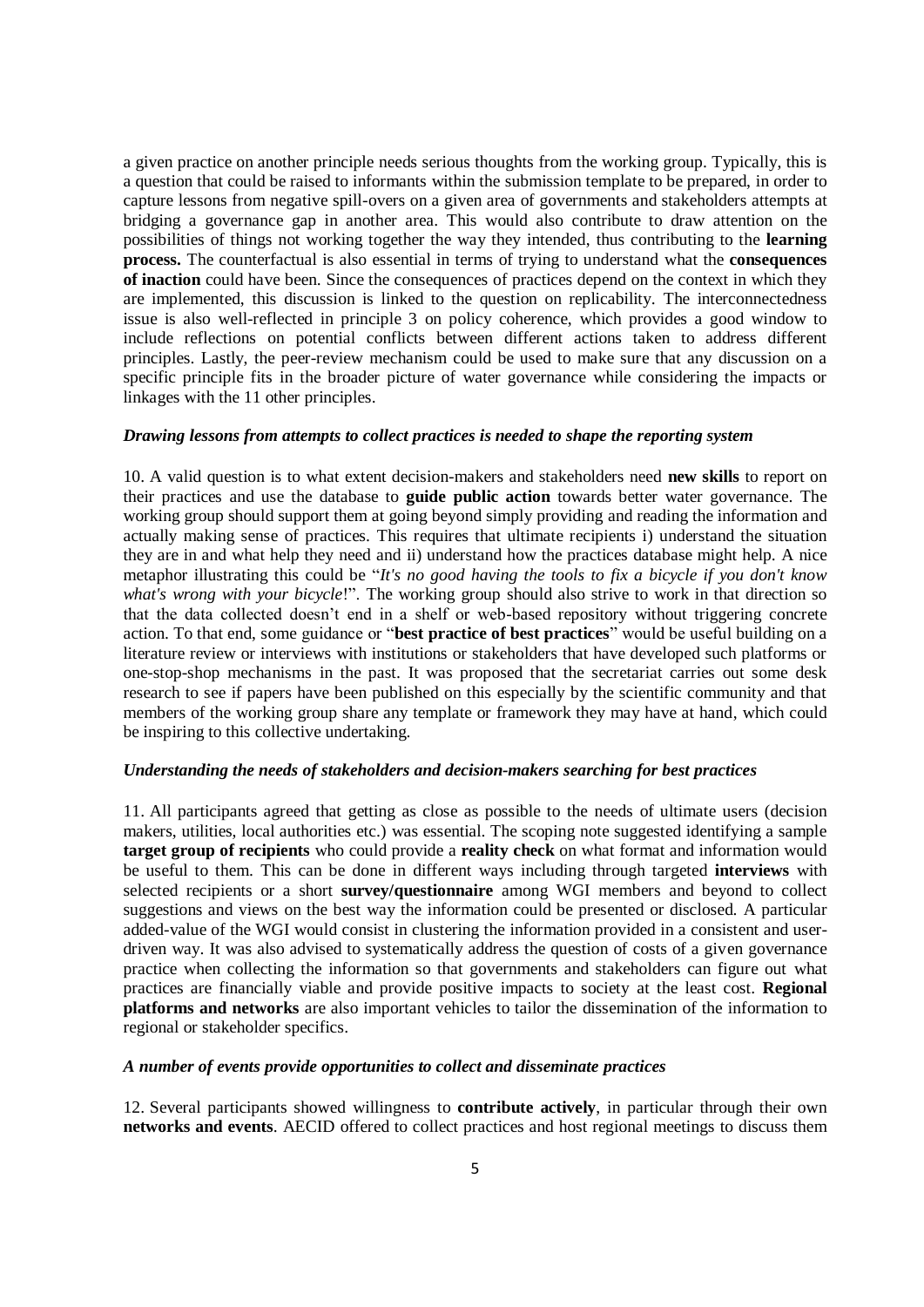a given practice on another principle needs serious thoughts from the working group. Typically, this is a question that could be raised to informants within the submission template to be prepared, in order to capture lessons from negative spill-overs on a given area of governments and stakeholders attempts at bridging a governance gap in another area. This would also contribute to draw attention on the possibilities of things not working together the way they intended, thus contributing to the **learning process.** The counterfactual is also essential in terms of trying to understand what the **consequences of inaction** could have been. Since the consequences of practices depend on the context in which they are implemented, this discussion is linked to the question on replicability. The interconnectedness issue is also well-reflected in principle 3 on policy coherence, which provides a good window to include reflections on potential conflicts between different actions taken to address different principles. Lastly, the peer-review mechanism could be used to make sure that any discussion on a specific principle fits in the broader picture of water governance while considering the impacts or linkages with the 11 other principles.

#### <span id="page-4-0"></span>*Drawing lessons from attempts to collect practices is needed to shape the reporting system*

10. A valid question is to what extent decision-makers and stakeholders need **new skills** to report on their practices and use the database to **guide public action** towards better water governance. The working group should support them at going beyond simply providing and reading the information and actually making sense of practices. This requires that ultimate recipients i) understand the situation they are in and what help they need and ii) understand how the practices database might help. A nice metaphor illustrating this could be "*It's no good having the tools to fix a bicycle if you don't know what's wrong with your bicycle*!". The working group should also strive to work in that direction so that the data collected doesn't end in a shelf or web-based repository without triggering concrete action. To that end, some guidance or "**best practice of best practices**" would be useful building on a literature review or interviews with institutions or stakeholders that have developed such platforms or one-stop-shop mechanisms in the past. It was proposed that the secretariat carries out some desk research to see if papers have been published on this especially by the scientific community and that members of the working group share any template or framework they may have at hand, which could be inspiring to this collective undertaking.

#### <span id="page-4-1"></span>*Understanding the needs of stakeholders and decision-makers searching for best practices*

11. All participants agreed that getting as close as possible to the needs of ultimate users (decision makers, utilities, local authorities etc.) was essential. The scoping note suggested identifying a sample **target group of recipients** who could provide a **reality check** on what format and information would be useful to them. This can be done in different ways including through targeted **interviews** with selected recipients or a short **survey/questionnaire** among WGI members and beyond to collect suggestions and views on the best way the information could be presented or disclosed. A particular added-value of the WGI would consist in clustering the information provided in a consistent and userdriven way. It was also advised to systematically address the question of costs of a given governance practice when collecting the information so that governments and stakeholders can figure out what practices are financially viable and provide positive impacts to society at the least cost. **Regional platforms and networks** are also important vehicles to tailor the dissemination of the information to regional or stakeholder specifics.

#### <span id="page-4-2"></span>*A number of events provide opportunities to collect and disseminate practices*

12. Several participants showed willingness to **contribute actively**, in particular through their own **networks and events**. AECID offered to collect practices and host regional meetings to discuss them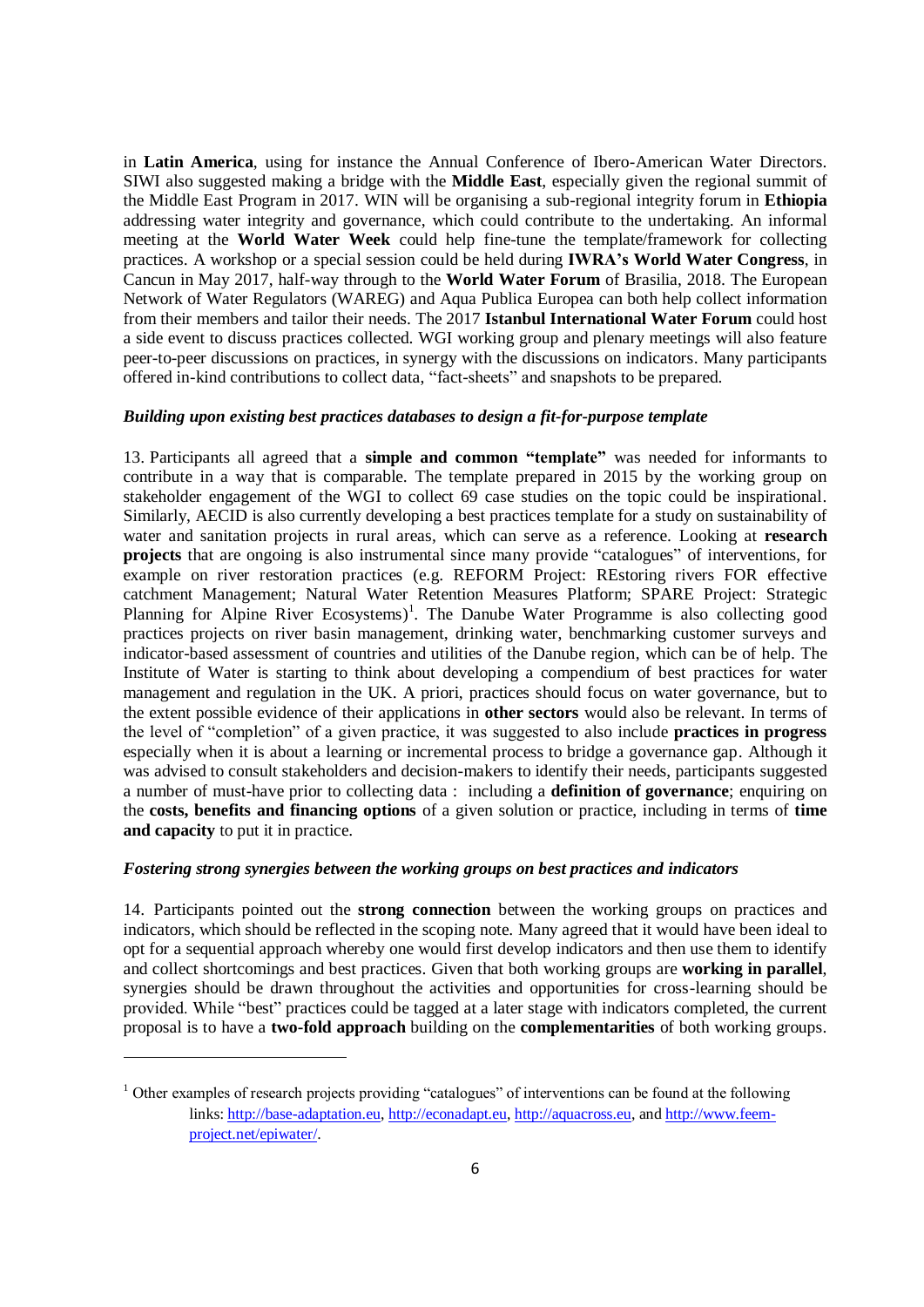in **Latin America**, using for instance the Annual Conference of Ibero-American Water Directors. SIWI also suggested making a bridge with the **Middle East**, especially given the regional summit of the Middle East Program in 2017. WIN will be organising a sub-regional integrity forum in **Ethiopia** addressing water integrity and governance, which could contribute to the undertaking. An informal meeting at the **World Water Week** could help fine-tune the template/framework for collecting practices. A workshop or a special session could be held during **IWRA's World Water Congress**, in Cancun in May 2017, half-way through to the **World Water Forum** of Brasilia, 2018. The European Network of Water Regulators (WAREG) and Aqua Publica Europea can both help collect information from their members and tailor their needs. The 2017 **Istanbul International Water Forum** could host a side event to discuss practices collected. WGI working group and plenary meetings will also feature peer-to-peer discussions on practices, in synergy with the discussions on indicators. Many participants offered in-kind contributions to collect data, "fact-sheets" and snapshots to be prepared.

### <span id="page-5-0"></span>*Building upon existing best practices databases to design a fit-for-purpose template*

13. Participants all agreed that a **simple and common "template"** was needed for informants to contribute in a way that is comparable. The template prepared in 2015 by the working group on stakeholder engagement of the WGI to collect 69 case studies on the topic could be inspirational. Similarly, AECID is also currently developing a best practices template for a study on sustainability of water and sanitation projects in rural areas, which can serve as a reference. Looking at **research projects** that are ongoing is also instrumental since many provide "catalogues" of interventions, for example on river restoration practices (e.g. REFORM Project: REstoring rivers FOR effective catchment Management; Natural Water Retention Measures Platform; SPARE Project: Strategic Planning for Alpine River Ecosystems)<sup>1</sup>. The Danube Water Programme is also collecting good practices projects on river basin management, drinking water, benchmarking customer surveys and indicator-based assessment of countries and utilities of the Danube region, which can be of help. The Institute of Water is starting to think about developing a compendium of best practices for water management and regulation in the UK. A priori, practices should focus on water governance, but to the extent possible evidence of their applications in **other sectors** would also be relevant. In terms of the level of "completion" of a given practice, it was suggested to also include **practices in progress** especially when it is about a learning or incremental process to bridge a governance gap. Although it was advised to consult stakeholders and decision-makers to identify their needs, participants suggested a number of must-have prior to collecting data : including a **definition of governance**; enquiring on the **costs, benefits and financing options** of a given solution or practice, including in terms of **time and capacity** to put it in practice.

#### <span id="page-5-1"></span>*Fostering strong synergies between the working groups on best practices and indicators*

1

14. Participants pointed out the **strong connection** between the working groups on practices and indicators, which should be reflected in the scoping note. Many agreed that it would have been ideal to opt for a sequential approach whereby one would first develop indicators and then use them to identify and collect shortcomings and best practices. Given that both working groups are **working in parallel**, synergies should be drawn throughout the activities and opportunities for cross-learning should be provided. While "best" practices could be tagged at a later stage with indicators completed, the current proposal is to have a **two-fold approach** building on the **complementarities** of both working groups.

<sup>&</sup>lt;sup>1</sup> Other examples of research projects providing "catalogues" of interventions can be found at the following links[: http://base-adaptation.eu,](http://base-adaptation.eu/) [http://econadapt.eu,](http://econadapt.eu/) [http://aquacross.eu,](http://aquacross.eu/) an[d http://www.feem](http://www.feem-project.net/epiwater/)[project.net/epiwater/.](http://www.feem-project.net/epiwater/)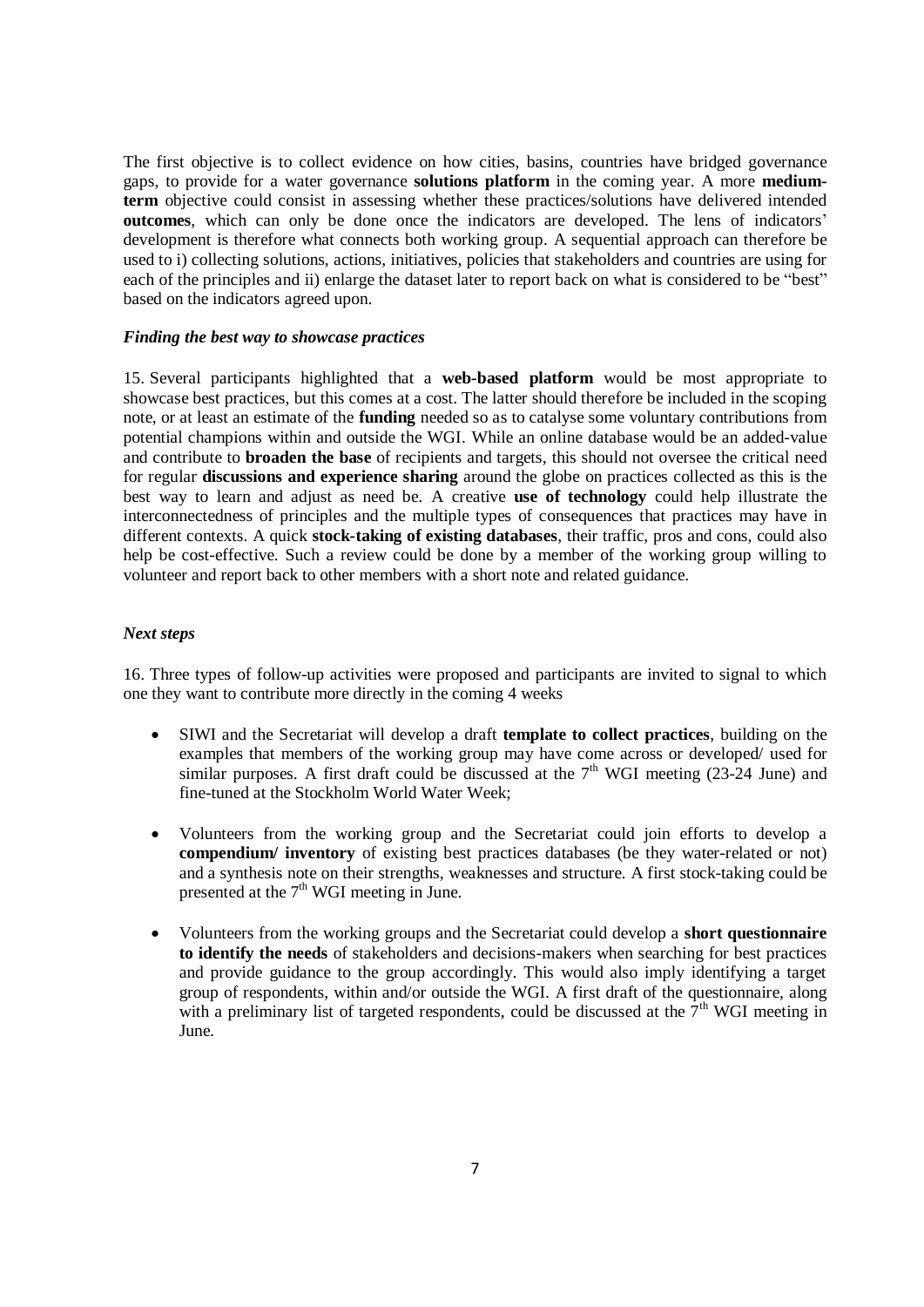The first objective is to collect evidence on how cities, basins, countries have bridged governance gaps, to provide for a water governance **solutions platform** in the coming year. A more **mediumterm** objective could consist in assessing whether these practices/solutions have delivered intended **outcomes**, which can only be done once the indicators are developed. The lens of indicators' development is therefore what connects both working group. A sequential approach can therefore be used to i) collecting solutions, actions, initiatives, policies that stakeholders and countries are using for each of the principles and ii) enlarge the dataset later to report back on what is considered to be "best" based on the indicators agreed upon.

#### <span id="page-6-0"></span>*Finding the best way to showcase practices*

15. Several participants highlighted that a **web-based platform** would be most appropriate to showcase best practices, but this comes at a cost. The latter should therefore be included in the scoping note, or at least an estimate of the **funding** needed so as to catalyse some voluntary contributions from potential champions within and outside the WGI. While an online database would be an added-value and contribute to **broaden the base** of recipients and targets, this should not oversee the critical need for regular **discussions and experience sharing** around the globe on practices collected as this is the best way to learn and adjust as need be. A creative **use of technology** could help illustrate the interconnectedness of principles and the multiple types of consequences that practices may have in different contexts. A quick **stock-taking of existing databases**, their traffic, pros and cons, could also help be cost-effective. Such a review could be done by a member of the working group willing to volunteer and report back to other members with a short note and related guidance.

### <span id="page-6-1"></span>*Next steps*

16. Three types of follow-up activities were proposed and participants are invited to signal to which one they want to contribute more directly in the coming 4 weeks

- SIWI and the Secretariat will develop a draft **template to collect practices**, building on the examples that members of the working group may have come across or developed/ used for similar purposes. A first draft could be discussed at the  $7<sup>th</sup>$  WGI meeting (23-24 June) and fine-tuned at the Stockholm World Water Week;
- Volunteers from the working group and the Secretariat could join efforts to develop a **compendium/ inventory** of existing best practices databases (be they water-related or not) and a synthesis note on their strengths, weaknesses and structure. A first stock-taking could be presented at the  $7<sup>th</sup>$  WGI meeting in June.
- Volunteers from the working groups and the Secretariat could develop a **short questionnaire to identify the needs** of stakeholders and decisions-makers when searching for best practices and provide guidance to the group accordingly. This would also imply identifying a target group of respondents, within and/or outside the WGI. A first draft of the questionnaire, along with a preliminary list of targeted respondents, could be discussed at the  $7<sup>th</sup>$  WGI meeting in June.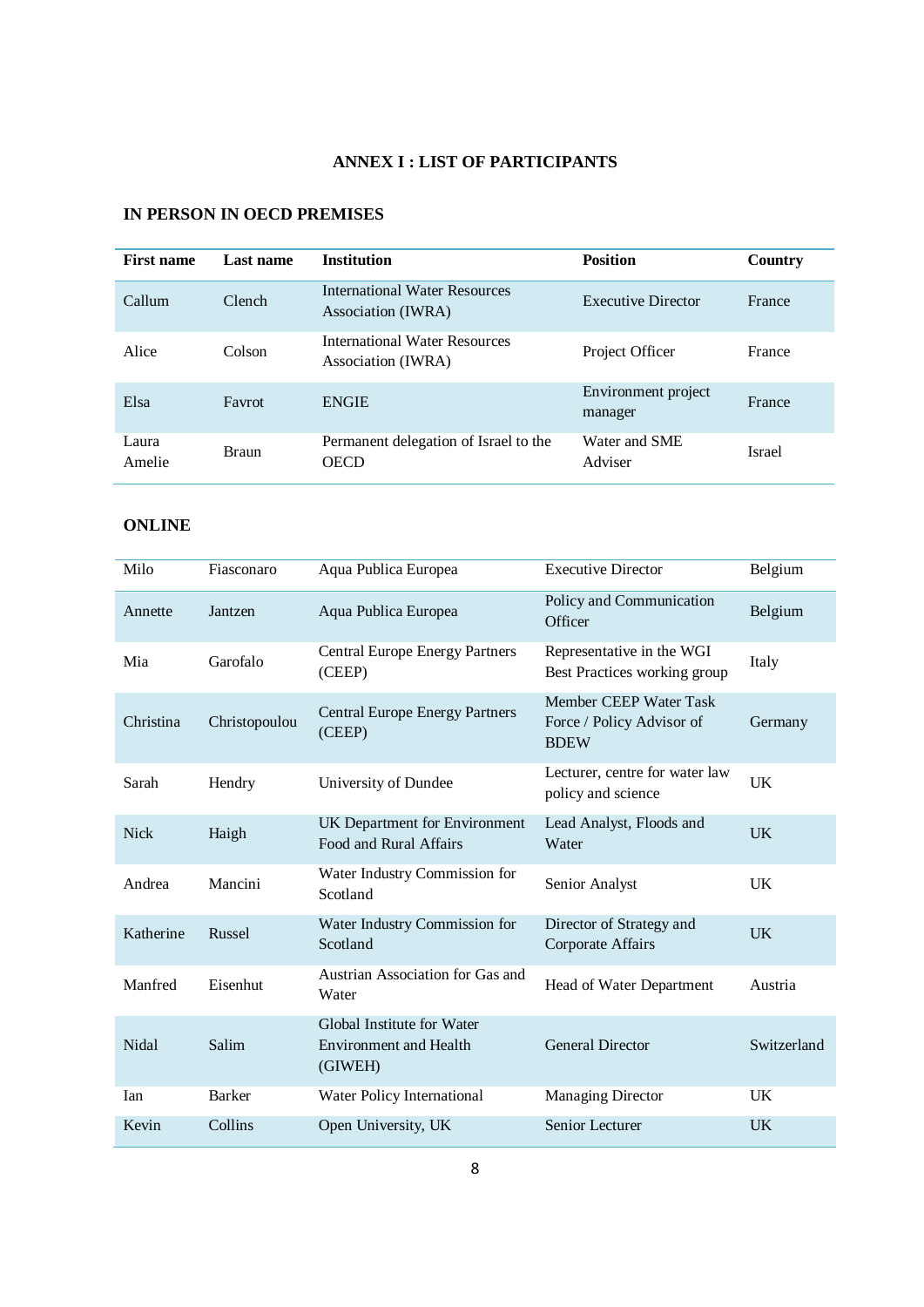# **ANNEX I : LIST OF PARTICIPANTS**

## <span id="page-7-0"></span>**IN PERSON IN OECD PREMISES**

| <b>First name</b> | Last name    | <b>Institution</b>                                   | <b>Position</b>                | Country       |
|-------------------|--------------|------------------------------------------------------|--------------------------------|---------------|
| Callum            | Clench       | International Water Resources<br>Association (IWRA)  | Executive Director             | France        |
| Alice             | Colson       | International Water Resources<br>Association (IWRA)  | Project Officer                | France        |
| Elsa              | Favrot       | <b>ENGIE</b>                                         | Environment project<br>manager | France        |
| Laura<br>Amelie   | <b>Braun</b> | Permanent delegation of Israel to the<br><b>OECD</b> | Water and SME<br>Adviser       | <b>Israel</b> |

## **ONLINE**

| Milo        | Fiasconaro    | Aqua Publica Europea                                                   | <b>Executive Director</b>                                          | Belgium     |
|-------------|---------------|------------------------------------------------------------------------|--------------------------------------------------------------------|-------------|
| Annette     | Jantzen       | Aqua Publica Europea                                                   | Policy and Communication<br>Officer                                | Belgium     |
| Mia         | Garofalo      | <b>Central Europe Energy Partners</b><br>(CEEP)                        | Representative in the WGI<br>Best Practices working group          | Italy       |
| Christina   | Christopoulou | <b>Central Europe Energy Partners</b><br>(CEEP)                        | Member CEEP Water Task<br>Force / Policy Advisor of<br><b>BDEW</b> | Germany     |
| Sarah       | Hendry        | University of Dundee                                                   | Lecturer, centre for water law<br>policy and science               | <b>UK</b>   |
| <b>Nick</b> | Haigh         | UK Department for Environment<br>Food and Rural Affairs                | Lead Analyst, Floods and<br>Water                                  | <b>UK</b>   |
| Andrea      | Mancini       | Water Industry Commission for<br>Scotland                              | Senior Analyst                                                     | UK          |
| Katherine   | Russel        | Water Industry Commission for<br>Scotland                              | Director of Strategy and<br>Corporate Affairs                      | <b>UK</b>   |
| Manfred     | Eisenhut      | Austrian Association for Gas and<br>Water                              | Head of Water Department                                           | Austria     |
| Nidal       | Salim         | Global Institute for Water<br><b>Environment</b> and Health<br>(GIWEH) | <b>General Director</b>                                            | Switzerland |
| Ian         | Barker        | Water Policy International                                             | <b>Managing Director</b>                                           | <b>UK</b>   |
| Kevin       | Collins       | Open University, UK                                                    | Senior Lecturer                                                    | <b>UK</b>   |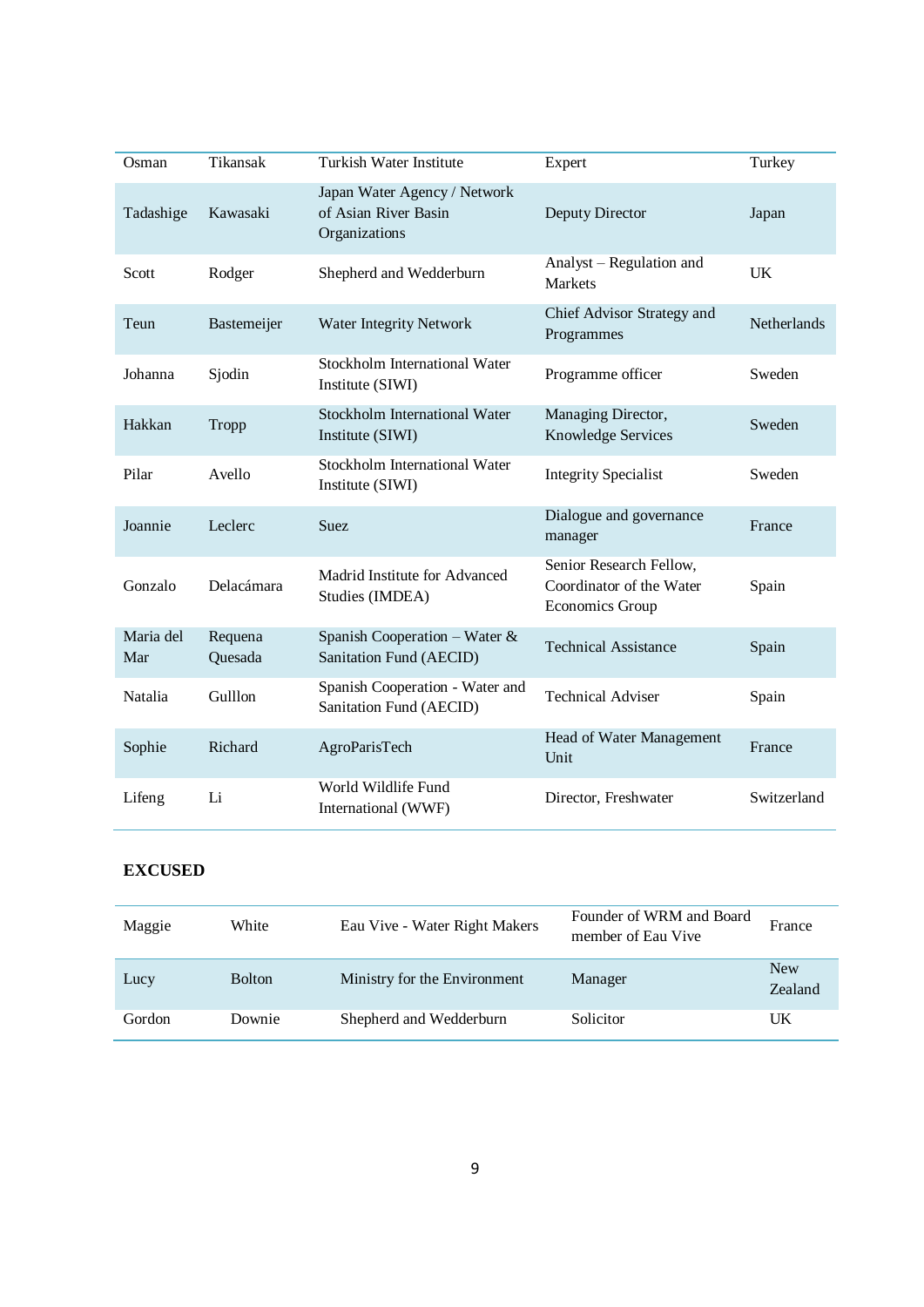| Osman            | Tikansak           | Turkish Water Institute                                               | Expert                                                                        | Turkey      |
|------------------|--------------------|-----------------------------------------------------------------------|-------------------------------------------------------------------------------|-------------|
| Tadashige        | Kawasaki           | Japan Water Agency / Network<br>of Asian River Basin<br>Organizations | Deputy Director                                                               | Japan       |
| Scott            | Rodger             | Shepherd and Wedderburn                                               | Analyst – Regulation and<br><b>Markets</b>                                    | <b>UK</b>   |
| Teun             | Bastemeijer        | <b>Water Integrity Network</b>                                        | Chief Advisor Strategy and<br>Programmes                                      | Netherlands |
| Johanna          | Sjodin             | <b>Stockholm International Water</b><br>Institute (SIWI)              | Programme officer                                                             | Sweden      |
| Hakkan           | Tropp              | <b>Stockholm International Water</b><br>Institute (SIWI)              | Managing Director,<br>Knowledge Services                                      | Sweden      |
| Pilar            | Avello             | <b>Stockholm International Water</b><br>Institute (SIWI)              | <b>Integrity Specialist</b>                                                   | Sweden      |
| Joannie          | Leclerc            | <b>Suez</b>                                                           | Dialogue and governance<br>manager                                            | France      |
| Gonzalo          | Delacámara         | Madrid Institute for Advanced<br>Studies (IMDEA)                      | Senior Research Fellow,<br>Coordinator of the Water<br><b>Economics Group</b> | Spain       |
| Maria del<br>Mar | Requena<br>Quesada | Spanish Cooperation – Water $\&$<br>Sanitation Fund (AECID)           | <b>Technical Assistance</b>                                                   | Spain       |
| Natalia          | Gulllon            | Spanish Cooperation - Water and<br>Sanitation Fund (AECID)            | <b>Technical Adviser</b>                                                      | Spain       |
| Sophie           | Richard            | AgroParisTech                                                         | Head of Water Management<br>Unit                                              | France      |
| Lifeng           | Li                 | World Wildlife Fund<br>International (WWF)                            | Director, Freshwater                                                          | Switzerland |

## **EXCUSED**

| Maggie | White         | Eau Vive - Water Right Makers | Founder of WRM and Board<br>member of Eau Vive | France                       |
|--------|---------------|-------------------------------|------------------------------------------------|------------------------------|
| Lucy   | <b>Bolton</b> | Ministry for the Environment  | Manager                                        | <b>New</b><br><b>Zealand</b> |
| Gordon | Downie        | Shepherd and Wedderburn       | Solicitor                                      | UK                           |